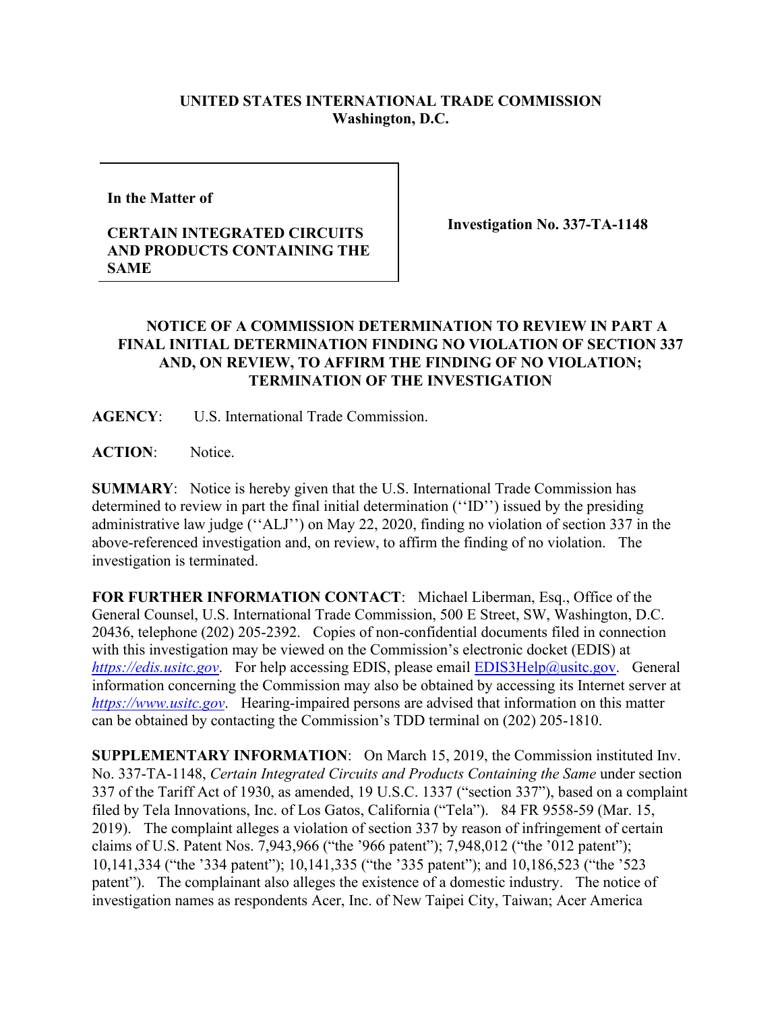## **UNITED STATES INTERNATIONAL TRADE COMMISSION Washington, D.C.**

**In the Matter of** 

## **CERTAIN INTEGRATED CIRCUITS AND PRODUCTS CONTAINING THE SAME**

**Investigation No. 337-TA-1148**

## **NOTICE OF A COMMISSION DETERMINATION TO REVIEW IN PART A FINAL INITIAL DETERMINATION FINDING NO VIOLATION OF SECTION 337 AND, ON REVIEW, TO AFFIRM THE FINDING OF NO VIOLATION; TERMINATION OF THE INVESTIGATION**

**AGENCY**: U.S. International Trade Commission.

**ACTION**: Notice.

**SUMMARY**: Notice is hereby given that the U.S. International Trade Commission has determined to review in part the final initial determination (''ID'') issued by the presiding administrative law judge (''ALJ'') on May 22, 2020, finding no violation of section 337 in the above-referenced investigation and, on review, to affirm the finding of no violation. The investigation is terminated.

**FOR FURTHER INFORMATION CONTACT**: Michael Liberman, Esq., Office of the General Counsel, U.S. International Trade Commission, 500 E Street, SW, Washington, D.C. 20436, telephone (202) 205-2392. Copies of non-confidential documents filed in connection with this investigation may be viewed on the Commission's electronic docket (EDIS) at *[https://edis.usitc.gov](https://edis.usitc.gov/).* For help accessing EDIS, please email [EDIS3Help@usitc.gov.](mailto:EDIS3Help@usitc.gov) General information concerning the Commission may also be obtained by accessing its Internet server at *[https://www.usitc.gov](https://www.usitc.gov/)*. Hearing-impaired persons are advised that information on this matter can be obtained by contacting the Commission's TDD terminal on (202) 205-1810.

**SUPPLEMENTARY INFORMATION**: On March 15, 2019, the Commission instituted Inv. No. 337-TA-1148, *Certain Integrated Circuits and Products Containing the Same* under section 337 of the Tariff Act of 1930, as amended, 19 U.S.C. 1337 ("section 337"), based on a complaint filed by Tela Innovations, Inc. of Los Gatos, California ("Tela"). 84 FR 9558-59 (Mar. 15, 2019). The complaint alleges a violation of section 337 by reason of infringement of certain claims of U.S. Patent Nos. 7,943,966 ("the '966 patent"); 7,948,012 ("the '012 patent"); 10,141,334 ("the '334 patent"); 10,141,335 ("the '335 patent"); and 10,186,523 ("the '523 patent"). The complainant also alleges the existence of a domestic industry. The notice of investigation names as respondents Acer, Inc. of New Taipei City, Taiwan; Acer America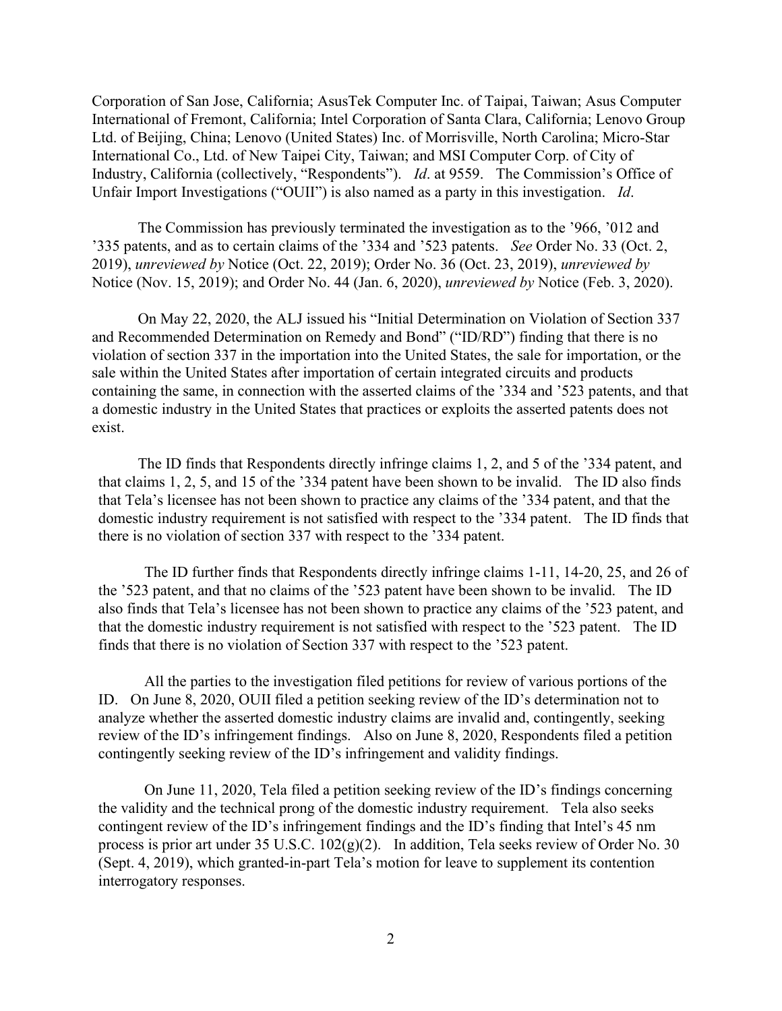Corporation of San Jose, California; AsusTek Computer Inc. of Taipai, Taiwan; Asus Computer International of Fremont, California; Intel Corporation of Santa Clara, California; Lenovo Group Ltd. of Beijing, China; Lenovo (United States) Inc. of Morrisville, North Carolina; Micro-Star International Co., Ltd. of New Taipei City, Taiwan; and MSI Computer Corp. of City of Industry, California (collectively, "Respondents"). *Id*. at 9559. The Commission's Office of Unfair Import Investigations ("OUII") is also named as a party in this investigation. *Id*.

The Commission has previously terminated the investigation as to the '966, '012 and '335 patents, and as to certain claims of the '334 and '523 patents. *See* Order No. 33 (Oct. 2, 2019), *unreviewed by* Notice (Oct. 22, 2019); Order No. 36 (Oct. 23, 2019), *unreviewed by* Notice (Nov. 15, 2019); and Order No. 44 (Jan. 6, 2020), *unreviewed by* Notice (Feb. 3, 2020).

On May 22, 2020, the ALJ issued his "Initial Determination on Violation of Section 337 and Recommended Determination on Remedy and Bond" ("ID/RD") finding that there is no violation of section 337 in the importation into the United States, the sale for importation, or the sale within the United States after importation of certain integrated circuits and products containing the same, in connection with the asserted claims of the '334 and '523 patents, and that a domestic industry in the United States that practices or exploits the asserted patents does not exist.

The ID finds that Respondents directly infringe claims 1, 2, and 5 of the '334 patent, and that claims 1, 2, 5, and 15 of the '334 patent have been shown to be invalid. The ID also finds that Tela's licensee has not been shown to practice any claims of the '334 patent, and that the domestic industry requirement is not satisfied with respect to the '334 patent. The ID finds that there is no violation of section 337 with respect to the '334 patent.

The ID further finds that Respondents directly infringe claims 1-11, 14-20, 25, and 26 of the '523 patent, and that no claims of the '523 patent have been shown to be invalid. The ID also finds that Tela's licensee has not been shown to practice any claims of the '523 patent, and that the domestic industry requirement is not satisfied with respect to the '523 patent. The ID finds that there is no violation of Section 337 with respect to the '523 patent.

All the parties to the investigation filed petitions for review of various portions of the ID. On June 8, 2020, OUII filed a petition seeking review of the ID's determination not to analyze whether the asserted domestic industry claims are invalid and, contingently, seeking review of the ID's infringement findings. Also on June 8, 2020, Respondents filed a petition contingently seeking review of the ID's infringement and validity findings.

On June 11, 2020, Tela filed a petition seeking review of the ID's findings concerning the validity and the technical prong of the domestic industry requirement. Tela also seeks contingent review of the ID's infringement findings and the ID's finding that Intel's 45 nm process is prior art under 35 U.S.C. 102(g)(2). In addition, Tela seeks review of Order No. 30 (Sept. 4, 2019), which granted-in-part Tela's motion for leave to supplement its contention interrogatory responses.